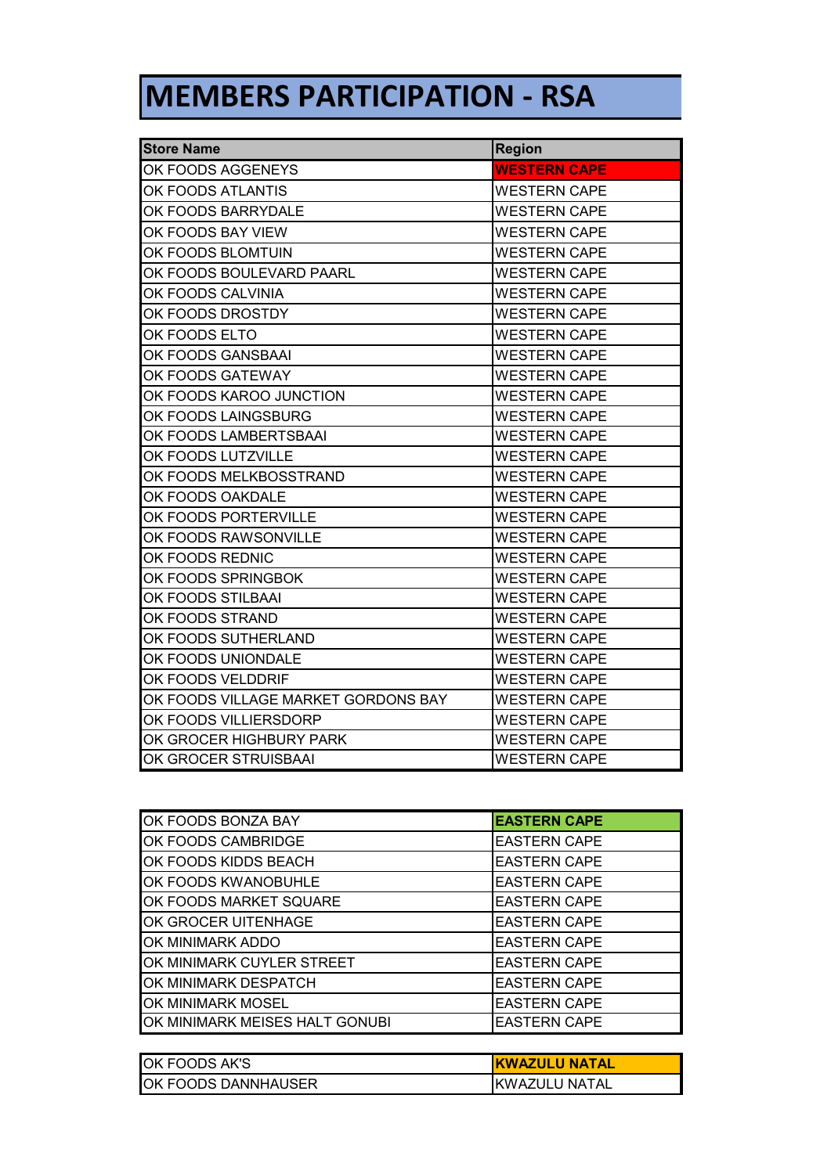## **MEMBERS PARTICIPATION - RSA**

| <b>Store Name</b>                   | <b>Region</b>       |  |
|-------------------------------------|---------------------|--|
| OK FOODS AGGENEYS                   | <b>WESTERN CAPE</b> |  |
| OK FOODS ATLANTIS                   | <b>WESTERN CAPE</b> |  |
| OK FOODS BARRYDALE                  | <b>WESTERN CAPE</b> |  |
| OK FOODS BAY VIEW                   | <b>WESTERN CAPE</b> |  |
| OK FOODS BLOMTUIN                   | <b>WESTERN CAPE</b> |  |
| OK FOODS BOULEVARD PAARL            | <b>WESTERN CAPE</b> |  |
| OK FOODS CALVINIA                   | <b>WESTERN CAPE</b> |  |
| OK FOODS DROSTDY                    | WESTERN CAPE        |  |
| OK FOODS ELTO                       | <b>WESTERN CAPE</b> |  |
| OK FOODS GANSBAAI                   | <b>WESTERN CAPE</b> |  |
| OK FOODS GATEWAY                    | <b>WESTERN CAPE</b> |  |
| OK FOODS KAROO JUNCTION             | <b>WESTERN CAPE</b> |  |
| OK FOODS LAINGSBURG                 | <b>WESTERN CAPE</b> |  |
| OK FOODS LAMBERTSBAAI               | <b>WESTERN CAPE</b> |  |
| OK FOODS LUTZVILLE                  | <b>WESTERN CAPE</b> |  |
| OK FOODS MELKBOSSTRAND              | <b>WESTERN CAPE</b> |  |
| OK FOODS OAKDALE                    | <b>WESTERN CAPE</b> |  |
| OK FOODS PORTERVILLE                | <b>WESTERN CAPE</b> |  |
| OK FOODS RAWSONVILLE                | WESTERN CAPE        |  |
| OK FOODS REDNIC                     | <b>WESTERN CAPE</b> |  |
| OK FOODS SPRINGBOK                  | <b>WESTERN CAPE</b> |  |
| OK FOODS STILBAAI                   | <b>WESTERN CAPE</b> |  |
| OK FOODS STRAND                     | <b>WESTERN CAPE</b> |  |
| OK FOODS SUTHERLAND                 | <b>WESTERN CAPE</b> |  |
| OK FOODS UNIONDALE                  | <b>WESTERN CAPE</b> |  |
| OK FOODS VELDDRIF                   | <b>WESTERN CAPE</b> |  |
| OK FOODS VILLAGE MARKET GORDONS BAY | <b>WESTERN CAPE</b> |  |
| OK FOODS VILLIERSDORP               | <b>WESTERN CAPE</b> |  |
| OK GROCER HIGHBURY PARK             | <b>WESTERN CAPE</b> |  |
| OK GROCER STRUISBAAI                | WESTERN CAPE        |  |

| OK FOODS BONZA BAY             | <b>EASTERN CAPE</b> |
|--------------------------------|---------------------|
| OK FOODS CAMBRIDGE             | <b>EASTERN CAPE</b> |
| OK FOODS KIDDS BEACH           | <b>EASTERN CAPE</b> |
| OK FOODS KWANOBUHLE            | <b>EASTERN CAPE</b> |
| OK FOODS MARKET SQUARE         | <b>EASTERN CAPE</b> |
| OK GROCER UITENHAGE            | <b>EASTERN CAPE</b> |
| OK MINIMARK ADDO               | <b>EASTERN CAPE</b> |
| OK MINIMARK CUYLER STREET      | <b>EASTERN CAPE</b> |
| OK MINIMARK DESPATCH           | <b>EASTERN CAPE</b> |
| OK MINIMARK MOSEL              | <b>EASTERN CAPE</b> |
| OK MINIMARK MEISES HALT GONUBI | <b>EASTERN CAPE</b> |

| <b>OK FOODS AK'S</b> | <b>KWAZULU NATAL</b> |
|----------------------|----------------------|
| OK FOODS DANNHAUSER  | IKWAZULU NATAL       |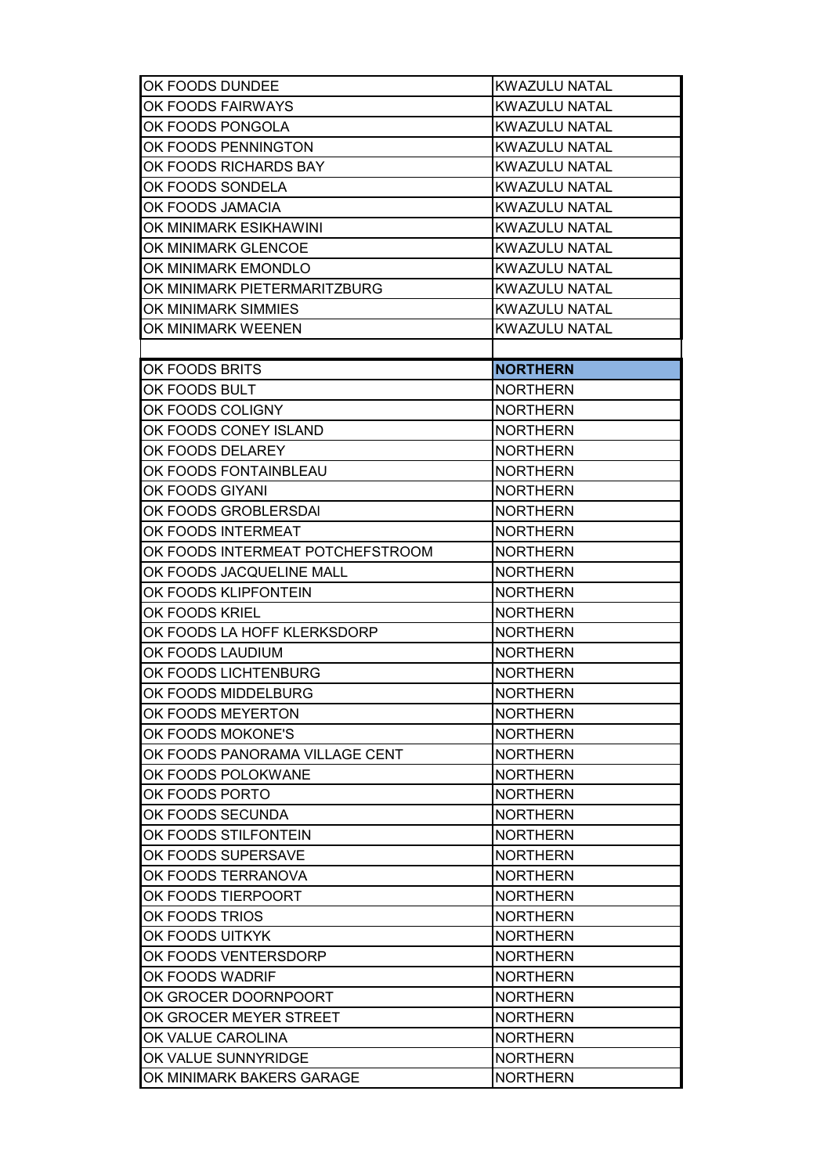| OK FOODS DUNDEE                  | <b>KWAZULU NATAL</b> |  |
|----------------------------------|----------------------|--|
| OK FOODS FAIRWAYS                | <b>KWAZULU NATAL</b> |  |
| OK FOODS PONGOLA                 | <b>KWAZULU NATAL</b> |  |
| OK FOODS PENNINGTON              | <b>KWAZULU NATAL</b> |  |
| OK FOODS RICHARDS BAY            | <b>KWAZULU NATAL</b> |  |
| OK FOODS SONDELA                 | <b>KWAZULU NATAL</b> |  |
| OK FOODS JAMACIA                 | <b>KWAZULU NATAL</b> |  |
| OK MINIMARK ESIKHAWINI           | <b>KWAZULU NATAL</b> |  |
| OK MINIMARK GLENCOE              | <b>KWAZULU NATAL</b> |  |
| OK MINIMARK EMONDLO              | <b>KWAZULU NATAL</b> |  |
| OK MINIMARK PIETERMARITZBURG     | <b>KWAZULU NATAL</b> |  |
| OK MINIMARK SIMMIES              | <b>KWAZULU NATAL</b> |  |
| OK MINIMARK WEENEN               | <b>KWAZULU NATAL</b> |  |
|                                  |                      |  |
| OK FOODS BRITS                   | <b>NORTHERN</b>      |  |
| OK FOODS BULT                    | <b>NORTHERN</b>      |  |
| OK FOODS COLIGNY                 | <b>NORTHERN</b>      |  |
| OK FOODS CONEY ISLAND            | <b>NORTHERN</b>      |  |
| OK FOODS DELAREY                 | <b>NORTHERN</b>      |  |
| OK FOODS FONTAINBLEAU            | <b>NORTHERN</b>      |  |
| OK FOODS GIYANI                  | <b>NORTHERN</b>      |  |
| OK FOODS GROBLERSDAI             | <b>NORTHERN</b>      |  |
| OK FOODS INTERMEAT               | <b>NORTHERN</b>      |  |
| OK FOODS INTERMEAT POTCHEFSTROOM | <b>NORTHERN</b>      |  |
| OK FOODS JACQUELINE MALL         | <b>NORTHERN</b>      |  |
| OK FOODS KLIPFONTEIN             | <b>NORTHERN</b>      |  |
| OK FOODS KRIEL                   | <b>NORTHERN</b>      |  |
| OK FOODS LA HOFF KLERKSDORP      | <b>NORTHERN</b>      |  |
| OK FOODS LAUDIUM                 | <b>NORTHERN</b>      |  |
| OK FOODS LICHTENBURG             | <b>NORTHERN</b>      |  |
| OK FOODS MIDDELBURG              | <b>NORTHERN</b>      |  |
| OK FOODS MEYERTON                | <b>NORTHERN</b>      |  |
| OK FOODS MOKONE'S                | <b>NORTHERN</b>      |  |
| OK FOODS PANORAMA VILLAGE CENT   | <b>NORTHERN</b>      |  |
| OK FOODS POLOKWANE               | <b>NORTHERN</b>      |  |
| OK FOODS PORTO                   | <b>NORTHERN</b>      |  |
| OK FOODS SECUNDA                 | <b>NORTHERN</b>      |  |
| OK FOODS STILFONTEIN             | <b>NORTHERN</b>      |  |
| OK FOODS SUPERSAVE               | <b>NORTHERN</b>      |  |
| OK FOODS TERRANOVA               | <b>NORTHERN</b>      |  |
| OK FOODS TIERPOORT               | <b>NORTHERN</b>      |  |
| OK FOODS TRIOS                   | <b>NORTHERN</b>      |  |
| OK FOODS UITKYK                  | <b>NORTHERN</b>      |  |
| OK FOODS VENTERSDORP             | <b>NORTHERN</b>      |  |
| OK FOODS WADRIF                  | <b>NORTHERN</b>      |  |
| OK GROCER DOORNPOORT             | <b>NORTHERN</b>      |  |
| OK GROCER MEYER STREET           | <b>NORTHERN</b>      |  |
| OK VALUE CAROLINA                | <b>NORTHERN</b>      |  |
| OK VALUE SUNNYRIDGE              | <b>NORTHERN</b>      |  |
| OK MINIMARK BAKERS GARAGE        | <b>NORTHERN</b>      |  |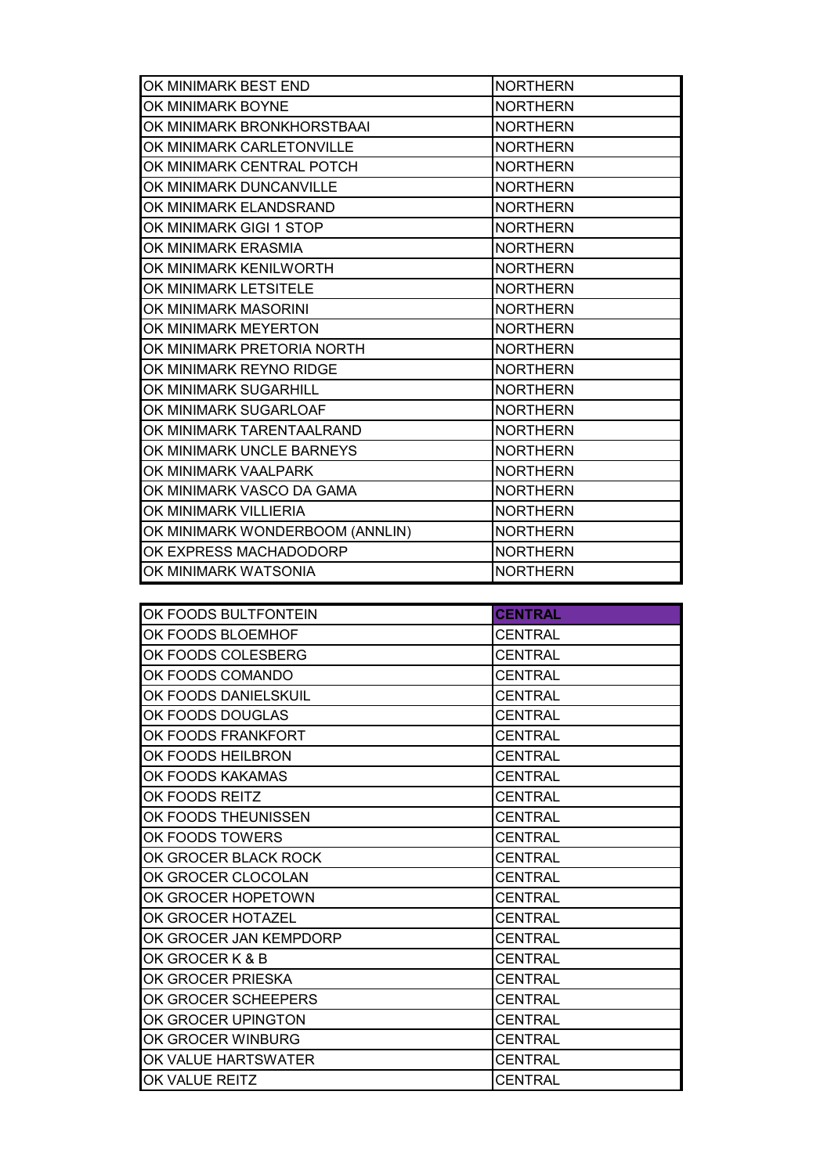| OK MINIMARK BEST END            | <b>NORTHERN</b> |  |
|---------------------------------|-----------------|--|
| OK MINIMARK BOYNE               | <b>NORTHERN</b> |  |
| OK MINIMARK BRONKHORSTBAAI      | <b>NORTHERN</b> |  |
| OK MINIMARK CARLETONVILLE       | <b>NORTHERN</b> |  |
| OK MINIMARK CENTRAL POTCH       | <b>NORTHERN</b> |  |
| OK MINIMARK DUNCANVILLE         | <b>NORTHERN</b> |  |
| OK MINIMARK ELANDSRAND          | <b>NORTHERN</b> |  |
| OK MINIMARK GIGI 1 STOP         | <b>NORTHERN</b> |  |
| OK MINIMARK ERASMIA             | <b>NORTHERN</b> |  |
| OK MINIMARK KENILWORTH          | <b>NORTHERN</b> |  |
| OK MINIMARK LETSITELE           | <b>NORTHERN</b> |  |
| OK MINIMARK MASORINI            | <b>NORTHERN</b> |  |
| OK MINIMARK MEYERTON            | <b>NORTHERN</b> |  |
| OK MINIMARK PRETORIA NORTH      | <b>NORTHERN</b> |  |
| OK MINIMARK REYNO RIDGE         | <b>NORTHERN</b> |  |
| OK MINIMARK SUGARHILL           | <b>NORTHERN</b> |  |
| OK MINIMARK SUGARLOAF           | <b>NORTHERN</b> |  |
| OK MINIMARK TARENTAALRAND       | <b>NORTHERN</b> |  |
| OK MINIMARK UNCLE BARNEYS       | <b>NORTHERN</b> |  |
| OK MINIMARK VAALPARK            | <b>NORTHERN</b> |  |
| OK MINIMARK VASCO DA GAMA       | <b>NORTHERN</b> |  |
| OK MINIMARK VILLIERIA           | <b>NORTHERN</b> |  |
| OK MINIMARK WONDERBOOM (ANNLIN) | <b>NORTHERN</b> |  |
| OK EXPRESS MACHADODORP          | <b>NORTHERN</b> |  |
| OK MINIMARK WATSONIA            | <b>NORTHERN</b> |  |

| OK FOODS BULTFONTEIN   | <b>CENTRAL</b> |
|------------------------|----------------|
| OK FOODS BLOEMHOF      | <b>CENTRAL</b> |
| OK FOODS COLESBERG     | <b>CENTRAL</b> |
| OK FOODS COMANDO       | <b>CENTRAL</b> |
| OK FOODS DANIELSKUIL   | <b>CENTRAL</b> |
| OK FOODS DOUGLAS       | <b>CENTRAL</b> |
| OK FOODS FRANKFORT     | CENTRAL        |
| OK FOODS HEILBRON      | <b>CENTRAL</b> |
| OK FOODS KAKAMAS       | <b>CENTRAL</b> |
| OK FOODS REITZ         | <b>CENTRAL</b> |
| OK FOODS THEUNISSEN    | <b>CENTRAL</b> |
| OK FOODS TOWERS        | <b>CENTRAL</b> |
| OK GROCER BLACK ROCK   | <b>CENTRAL</b> |
| OK GROCER CLOCOLAN     | <b>CENTRAL</b> |
| OK GROCER HOPETOWN     | <b>CENTRAL</b> |
| OK GROCER HOTAZEL      | <b>CENTRAL</b> |
| OK GROCER JAN KEMPDORP | <b>CENTRAL</b> |
| OK GROCER K & B        | CENTRAL        |
| OK GROCER PRIESKA      | <b>CENTRAL</b> |
| OK GROCER SCHEEPERS    | <b>CENTRAL</b> |
| OK GROCER UPINGTON     | <b>CENTRAL</b> |
| OK GROCER WINBURG      | <b>CENTRAL</b> |
| OK VALUE HARTSWATER    | <b>CENTRAL</b> |
| OK VALUE REITZ         | <b>CENTRAL</b> |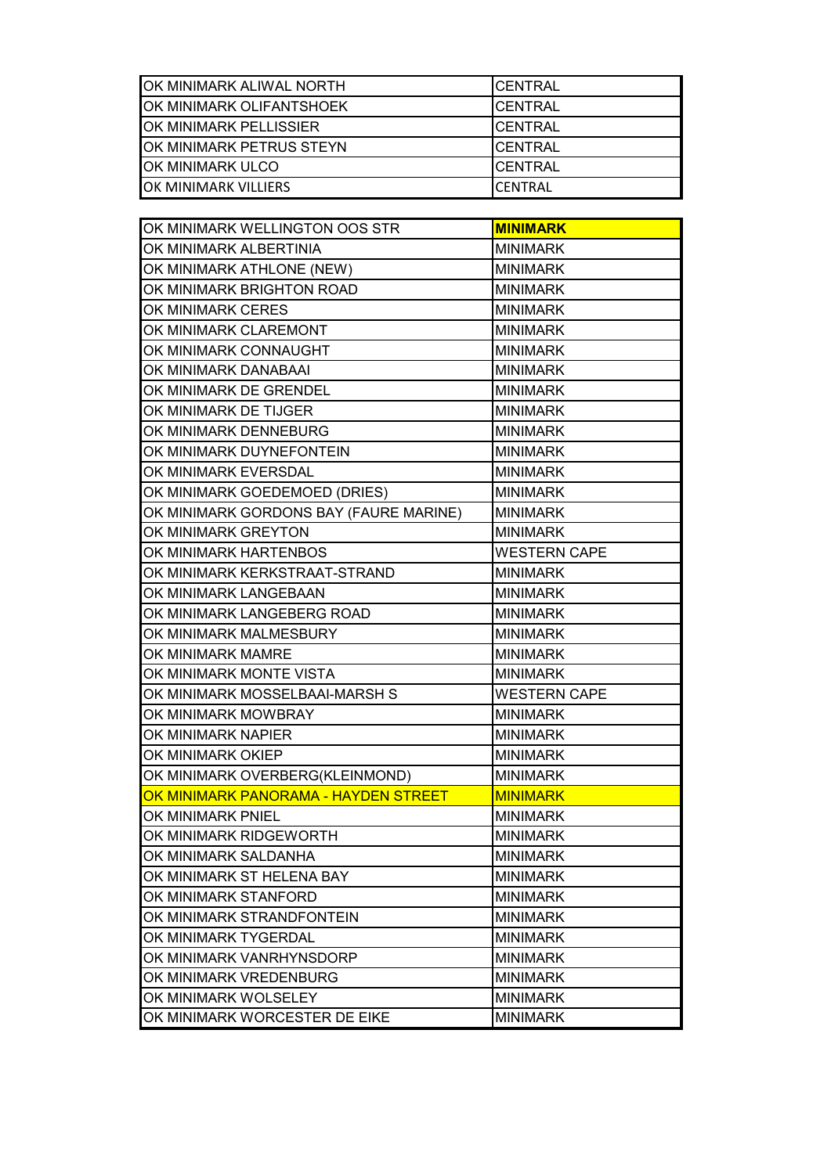| OK MINIMARK ALIWAL NORTH         | <b>CENTRAL</b>  |
|----------------------------------|-----------------|
| OK MINIMARK OLIFANTSHOEK         | ICENTRAL        |
| OK MINIMARK PELLISSIER           | ICENTRAL        |
| <b>JOK MINIMARK PETRUS STEYN</b> | ICENTRAL        |
| <b>JOK MINIMARK ULCO</b>         | ICENTRAL        |
| OK MINIMARK VILLIERS             | <b>ICENTRAL</b> |

| OK MINIMARK WELLINGTON OOS STR         | <b>MINIMARK</b>     |  |
|----------------------------------------|---------------------|--|
| OK MINIMARK ALBERTINIA                 | <b>MINIMARK</b>     |  |
| OK MINIMARK ATHLONE (NEW)              | <b>MINIMARK</b>     |  |
| OK MINIMARK BRIGHTON ROAD              | <b>MINIMARK</b>     |  |
| OK MINIMARK CERES                      | <b>MINIMARK</b>     |  |
| OK MINIMARK CLAREMONT                  | <b>MINIMARK</b>     |  |
| OK MINIMARK CONNAUGHT                  | <b>MINIMARK</b>     |  |
| OK MINIMARK DANABAAI                   | <b>MINIMARK</b>     |  |
| OK MINIMARK DE GRENDEL                 | <b>MINIMARK</b>     |  |
| OK MINIMARK DE TIJGER                  | <b>MINIMARK</b>     |  |
| OK MINIMARK DENNEBURG                  | <b>MINIMARK</b>     |  |
| OK MINIMARK DUYNEFONTEIN               | <b>MINIMARK</b>     |  |
| OK MINIMARK EVERSDAL                   | <b>MINIMARK</b>     |  |
| OK MINIMARK GOEDEMOED (DRIES)          | <b>MINIMARK</b>     |  |
| OK MINIMARK GORDONS BAY (FAURE MARINE) | <b>MINIMARK</b>     |  |
| OK MINIMARK GREYTON                    | <b>MINIMARK</b>     |  |
| OK MINIMARK HARTENBOS                  | <b>WESTERN CAPE</b> |  |
| OK MINIMARK KERKSTRAAT-STRAND          | <b>MINIMARK</b>     |  |
| OK MINIMARK LANGEBAAN                  | <b>MINIMARK</b>     |  |
| OK MINIMARK LANGEBERG ROAD             | <b>MINIMARK</b>     |  |
| OK MINIMARK MALMESBURY                 | <b>MINIMARK</b>     |  |
| OK MINIMARK MAMRE                      | <b>MINIMARK</b>     |  |
| OK MINIMARK MONTE VISTA                | <b>MINIMARK</b>     |  |
| OK MINIMARK MOSSELBAAI-MARSH S         | <b>WESTERN CAPE</b> |  |
| OK MINIMARK MOWBRAY<br><b>MINIMARK</b> |                     |  |
| OK MINIMARK NAPIER                     | <b>MINIMARK</b>     |  |
| OK MINIMARK OKIEP                      | <b>MINIMARK</b>     |  |
| OK MINIMARK OVERBERG(KLEINMOND)        | <b>MINIMARK</b>     |  |
| OK MINIMARK PANORAMA - HAYDEN STREET   | <b>MINIMARK</b>     |  |
| OK MINIMARK PNIEL                      | <b>MINIMARK</b>     |  |
| OK MINIMARK RIDGEWORTH                 | <b>MINIMARK</b>     |  |
| OK MINIMARK SALDANHA                   | <b>MINIMARK</b>     |  |
| OK MINIMARK ST HELENA BAY              | <b>MINIMARK</b>     |  |
| OK MINIMARK STANFORD                   | <b>MINIMARK</b>     |  |
| OK MINIMARK STRANDFONTEIN              | <b>MINIMARK</b>     |  |
| OK MINIMARK TYGERDAL                   | <b>MINIMARK</b>     |  |
| OK MINIMARK VANRHYNSDORP               | <b>MINIMARK</b>     |  |
| OK MINIMARK VREDENBURG                 | <b>MINIMARK</b>     |  |
| OK MINIMARK WOLSELEY                   | <b>MINIMARK</b>     |  |
| OK MINIMARK WORCESTER DE EIKE          | <b>MINIMARK</b>     |  |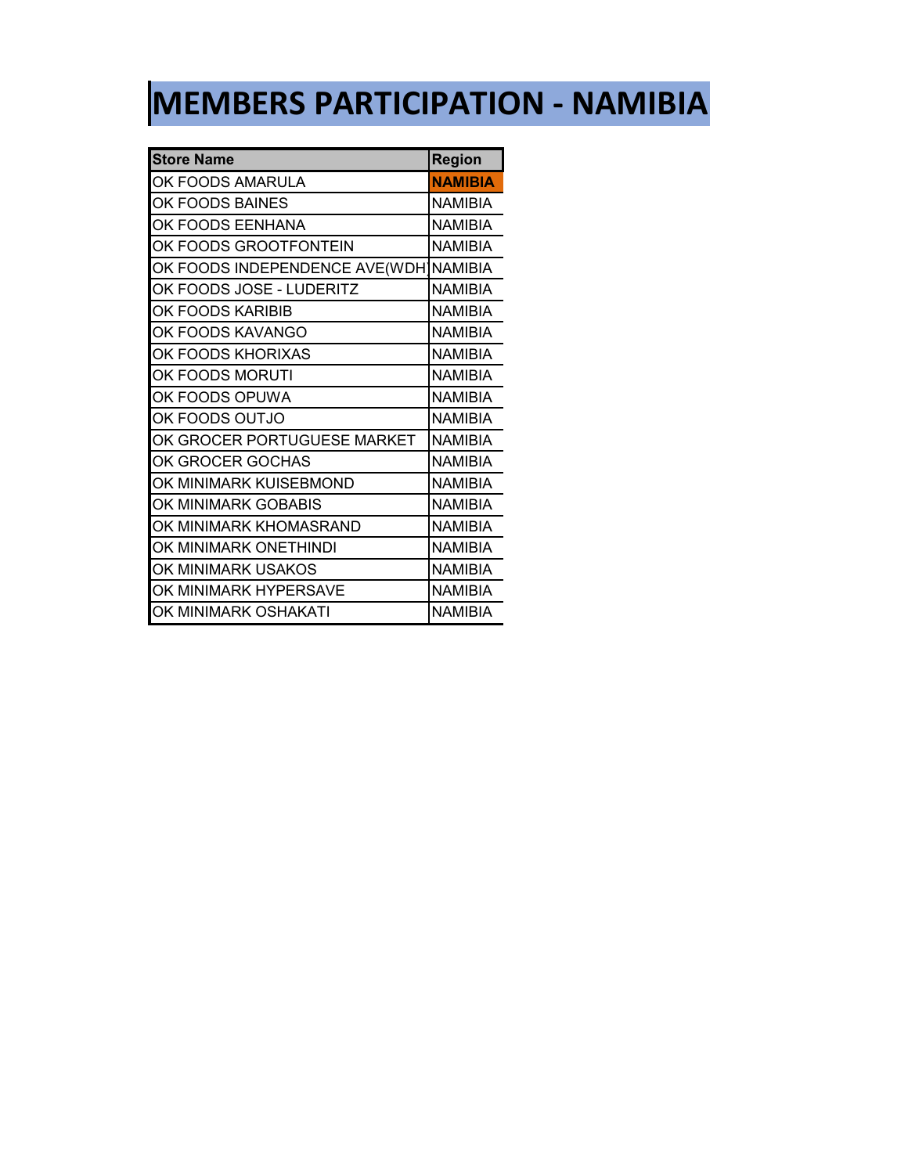## **MEMBERS PARTICIPATION - NAMIBIA**

| <b>Store Name</b>                     | <b>Region</b>  |
|---------------------------------------|----------------|
| OK FOODS AMARULA                      | <b>NAMIBIA</b> |
| OK FOODS BAINES                       | <b>NAMIBIA</b> |
| OK FOODS EENHANA                      | NAMIBIA        |
| OK FOODS GROOTFONTEIN                 | <b>NAMIBIA</b> |
| OK FOODS INDEPENDENCE AVE(WDH]NAMIBIA |                |
| OK FOODS JOSE - LUDERITZ              | <b>NAMIBIA</b> |
| OK FOODS KARIBIB                      | <b>NAMIBIA</b> |
| OK FOODS KAVANGO                      | <b>NAMIBIA</b> |
| OK FOODS KHORIXAS                     | <b>NAMIBIA</b> |
| OK FOODS MORUTI                       | <b>NAMIBIA</b> |
| OK FOODS OPUWA                        | NAMIBIA        |
| OK FOODS OUTJO                        | NAMIBIA        |
| OK GROCER PORTUGUESE MARKET           | <b>NAMIBIA</b> |
| OK GROCER GOCHAS                      | NAMIBIA        |
| OK MINIMARK KUISEBMOND                | <b>NAMIBIA</b> |
| OK MINIMARK GOBABIS                   | <b>NAMIBIA</b> |
| OK MINIMARK KHOMASRAND                | <b>NAMIBIA</b> |
| OK MINIMARK ONETHINDI                 | <b>NAMIBIA</b> |
| OK MINIMARK USAKOS                    | NAMIBIA        |
| OK MINIMARK HYPERSAVE                 | NAMIBIA        |
| OK MINIMARK OSHAKATI                  | NAMIBIA        |